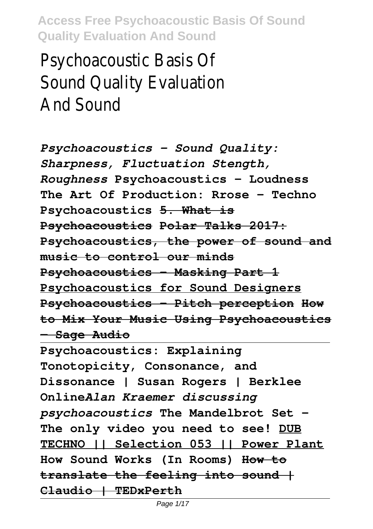Psychoacoustic Basis Of Sound Quality Evaluation And Sound

*Psychoacoustics - Sound Quality: Sharpness, Fluctuation Stength, Roughness* **Psychoacoustics - Loudness The Art Of Production: Rrose - Techno Psychoacoustics 5. What is Psychoacoustics Polar Talks 2017: Psychoacoustics, the power of sound and music to control our minds Psychoacoustics - Masking Part 1 Psychoacoustics for Sound Designers Psychoacoustics - Pitch perception How to Mix Your Music Using Psychoacoustics — Sage Audio**

**Psychoacoustics: Explaining Tonotopicity, Consonance, and Dissonance | Susan Rogers | Berklee Online***Alan Kraemer discussing psychoacoustics* **The Mandelbrot Set - The only video you need to see! DUB TECHNO || Selection 053 || Power Plant How Sound Works (In Rooms) How to translate the feeling into sound | Claudio | TEDxPerth**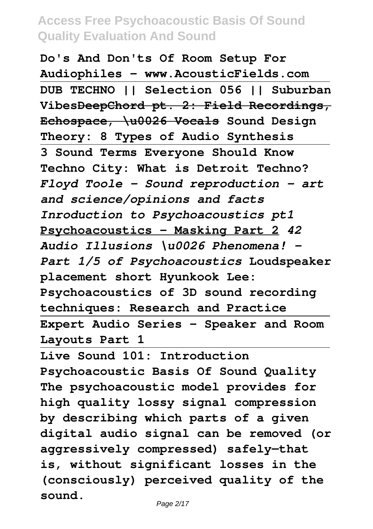**Do's And Don'ts Of Room Setup For Audiophiles - www.AcousticFields.com DUB TECHNO || Selection 056 || Suburban VibesDeepChord pt. 2: Field Recordings, Echospace, \u0026 Vocals Sound Design Theory: 8 Types of Audio Synthesis 3 Sound Terms Everyone Should Know Techno City: What is Detroit Techno?** *Floyd Toole - Sound reproduction – art and science/opinions and facts Inroduction to Psychoacoustics pt1* **Psychoacoustics - Masking Part 2** *42 Audio Illusions \u0026 Phenomena! - Part 1/5 of Psychoacoustics* **Loudspeaker placement short Hyunkook Lee: Psychoacoustics of 3D sound recording techniques: Research and Practice Expert Audio Series - Speaker and Room Layouts Part 1**

**Live Sound 101: Introduction Psychoacoustic Basis Of Sound Quality The psychoacoustic model provides for high quality lossy signal compression by describing which parts of a given digital audio signal can be removed (or aggressively compressed) safely—that is, without significant losses in the (consciously) perceived quality of the sound.**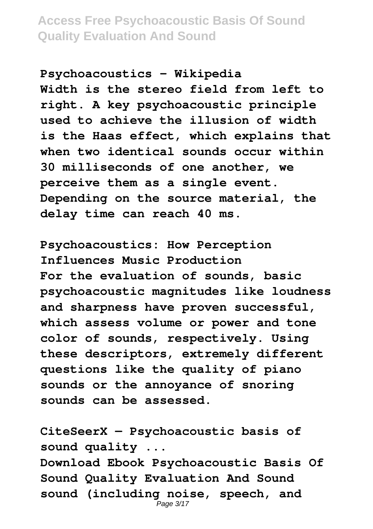**Psychoacoustics - Wikipedia Width is the stereo field from left to right. A key psychoacoustic principle used to achieve the illusion of width is the Haas effect, which explains that when two identical sounds occur within 30 milliseconds of one another, we perceive them as a single event. Depending on the source material, the delay time can reach 40 ms.**

**Psychoacoustics: How Perception Influences Music Production For the evaluation of sounds, basic psychoacoustic magnitudes like loudness and sharpness have proven successful, which assess volume or power and tone color of sounds, respectively. Using these descriptors, extremely different questions like the quality of piano sounds or the annoyance of snoring sounds can be assessed.**

**CiteSeerX — Psychoacoustic basis of sound quality ... Download Ebook Psychoacoustic Basis Of Sound Quality Evaluation And Sound sound (including noise, speech, and** Page 3/17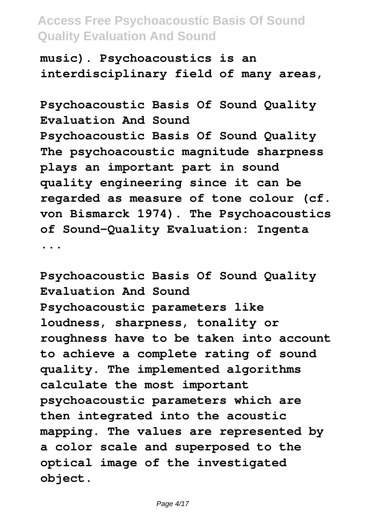**music). Psychoacoustics is an interdisciplinary field of many areas,**

**Psychoacoustic Basis Of Sound Quality Evaluation And Sound Psychoacoustic Basis Of Sound Quality The psychoacoustic magnitude sharpness plays an important part in sound quality engineering since it can be regarded as measure of tone colour (cf. von Bismarck 1974). The Psychoacoustics of Sound-Quality Evaluation: Ingenta ...**

**Psychoacoustic Basis Of Sound Quality Evaluation And Sound Psychoacoustic parameters like loudness, sharpness, tonality or roughness have to be taken into account to achieve a complete rating of sound quality. The implemented algorithms calculate the most important psychoacoustic parameters which are then integrated into the acoustic mapping. The values are represented by a color scale and superposed to the optical image of the investigated object.**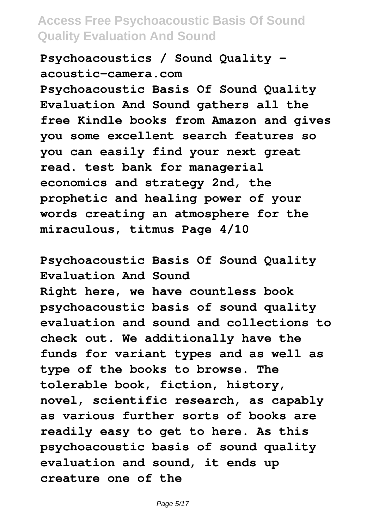**Psychoacoustics / Sound Quality acoustic-camera.com**

**Psychoacoustic Basis Of Sound Quality Evaluation And Sound gathers all the free Kindle books from Amazon and gives you some excellent search features so you can easily find your next great read. test bank for managerial economics and strategy 2nd, the prophetic and healing power of your words creating an atmosphere for the miraculous, titmus Page 4/10**

**Psychoacoustic Basis Of Sound Quality Evaluation And Sound Right here, we have countless book psychoacoustic basis of sound quality evaluation and sound and collections to check out. We additionally have the funds for variant types and as well as type of the books to browse. The tolerable book, fiction, history, novel, scientific research, as capably as various further sorts of books are readily easy to get to here. As this psychoacoustic basis of sound quality evaluation and sound, it ends up creature one of the**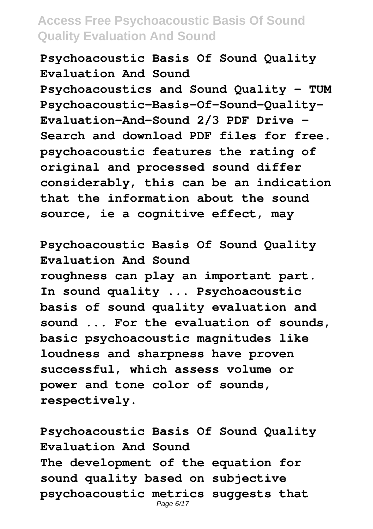**Psychoacoustic Basis Of Sound Quality Evaluation And Sound**

**Psychoacoustics and Sound Quality - TUM Psychoacoustic-Basis-Of-Sound-Quality-Evaluation-And-Sound 2/3 PDF Drive - Search and download PDF files for free. psychoacoustic features the rating of original and processed sound differ considerably, this can be an indication that the information about the sound source, ie a cognitive effect, may**

**Psychoacoustic Basis Of Sound Quality Evaluation And Sound roughness can play an important part. In sound quality ... Psychoacoustic basis of sound quality evaluation and sound ... For the evaluation of sounds, basic psychoacoustic magnitudes like loudness and sharpness have proven successful, which assess volume or power and tone color of sounds, respectively.**

**Psychoacoustic Basis Of Sound Quality Evaluation And Sound The development of the equation for sound quality based on subjective psychoacoustic metrics suggests that** Page 6/17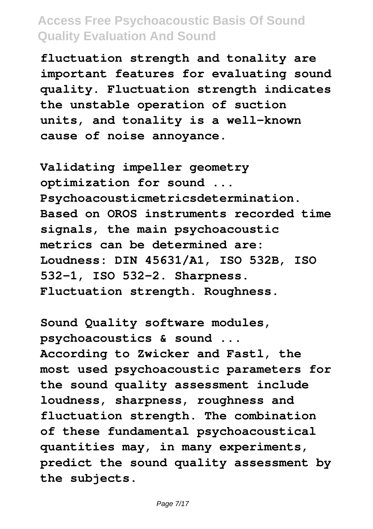**fluctuation strength and tonality are important features for evaluating sound quality. Fluctuation strength indicates the unstable operation of suction units, and tonality is a well-known cause of noise annoyance.**

**Validating impeller geometry optimization for sound ... Psychoacousticmetricsdetermination. Based on OROS instruments recorded time signals, the main psychoacoustic metrics can be determined are: Loudness: DIN 45631/A1, ISO 532B, ISO 532-1, ISO 532-2. Sharpness. Fluctuation strength. Roughness.**

**Sound Quality software modules, psychoacoustics & sound ... According to Zwicker and Fastl, the most used psychoacoustic parameters for the sound quality assessment include loudness, sharpness, roughness and fluctuation strength. The combination of these fundamental psychoacoustical quantities may, in many experiments, predict the sound quality assessment by the subjects.**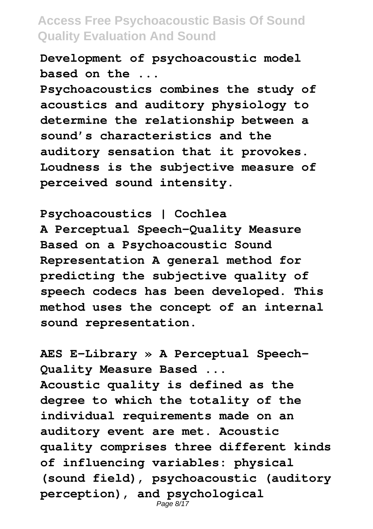**Development of psychoacoustic model based on the ...**

**Psychoacoustics combines the study of acoustics and auditory physiology to determine the relationship between a sound's characteristics and the auditory sensation that it provokes. Loudness is the subjective measure of perceived sound intensity.**

**Psychoacoustics | Cochlea A Perceptual Speech-Quality Measure Based on a Psychoacoustic Sound Representation A general method for predicting the subjective quality of speech codecs has been developed. This method uses the concept of an internal sound representation.**

**AES E-Library » A Perceptual Speech-Quality Measure Based ... Acoustic quality is defined as the degree to which the totality of the individual requirements made on an auditory event are met. Acoustic quality comprises three different kinds of influencing variables: physical (sound field), psychoacoustic (auditory perception), and psychological** Page 8/17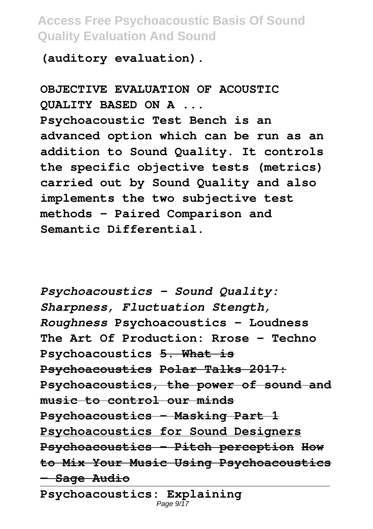**(auditory evaluation).**

**OBJECTIVE EVALUATION OF ACOUSTIC QUALITY BASED ON A ... Psychoacoustic Test Bench is an advanced option which can be run as an addition to Sound Quality. It controls the specific objective tests (metrics) carried out by Sound Quality and also implements the two subjective test methods – Paired Comparison and Semantic Differential.**

*Psychoacoustics - Sound Quality: Sharpness, Fluctuation Stength, Roughness* **Psychoacoustics - Loudness The Art Of Production: Rrose - Techno Psychoacoustics 5. What is Psychoacoustics Polar Talks 2017: Psychoacoustics, the power of sound and music to control our minds Psychoacoustics - Masking Part 1 Psychoacoustics for Sound Designers Psychoacoustics - Pitch perception How to Mix Your Music Using Psychoacoustics — Sage Audio Psychoacoustics: Explaining**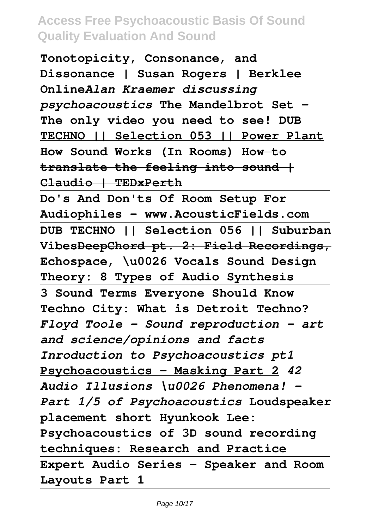**Tonotopicity, Consonance, and Dissonance | Susan Rogers | Berklee Online***Alan Kraemer discussing psychoacoustics* **The Mandelbrot Set - The only video you need to see! DUB TECHNO || Selection 053 || Power Plant How Sound Works (In Rooms) How to translate the feeling into sound | Claudio | TEDxPerth**

**Do's And Don'ts Of Room Setup For Audiophiles - www.AcousticFields.com DUB TECHNO || Selection 056 || Suburban VibesDeepChord pt. 2: Field Recordings, Echospace, \u0026 Vocals Sound Design Theory: 8 Types of Audio Synthesis 3 Sound Terms Everyone Should Know Techno City: What is Detroit Techno?** *Floyd Toole - Sound reproduction – art and science/opinions and facts Inroduction to Psychoacoustics pt1* **Psychoacoustics - Masking Part 2** *42 Audio Illusions \u0026 Phenomena! - Part 1/5 of Psychoacoustics* **Loudspeaker placement short Hyunkook Lee: Psychoacoustics of 3D sound recording techniques: Research and Practice Expert Audio Series - Speaker and Room Layouts Part 1**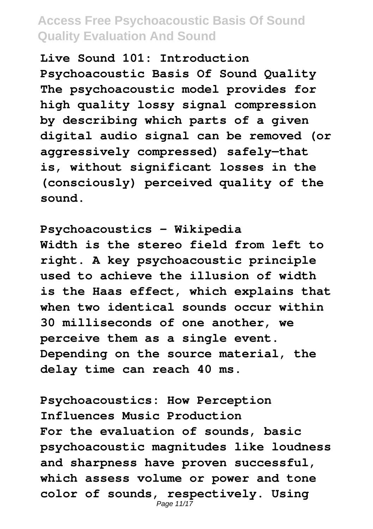**Live Sound 101: Introduction Psychoacoustic Basis Of Sound Quality The psychoacoustic model provides for high quality lossy signal compression by describing which parts of a given digital audio signal can be removed (or aggressively compressed) safely—that is, without significant losses in the (consciously) perceived quality of the sound.**

**Psychoacoustics - Wikipedia Width is the stereo field from left to right. A key psychoacoustic principle used to achieve the illusion of width is the Haas effect, which explains that when two identical sounds occur within 30 milliseconds of one another, we perceive them as a single event. Depending on the source material, the delay time can reach 40 ms.**

**Psychoacoustics: How Perception Influences Music Production For the evaluation of sounds, basic psychoacoustic magnitudes like loudness and sharpness have proven successful, which assess volume or power and tone color of sounds, respectively. Using** Page 11/17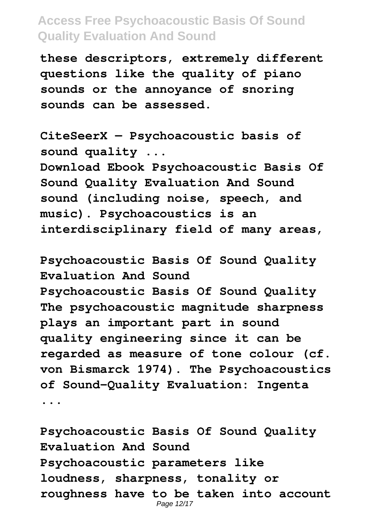**these descriptors, extremely different questions like the quality of piano sounds or the annoyance of snoring sounds can be assessed.**

**CiteSeerX — Psychoacoustic basis of sound quality ... Download Ebook Psychoacoustic Basis Of Sound Quality Evaluation And Sound sound (including noise, speech, and music). Psychoacoustics is an interdisciplinary field of many areas,**

**Psychoacoustic Basis Of Sound Quality Evaluation And Sound Psychoacoustic Basis Of Sound Quality The psychoacoustic magnitude sharpness plays an important part in sound quality engineering since it can be regarded as measure of tone colour (cf. von Bismarck 1974). The Psychoacoustics of Sound-Quality Evaluation: Ingenta ...**

**Psychoacoustic Basis Of Sound Quality Evaluation And Sound Psychoacoustic parameters like loudness, sharpness, tonality or roughness have to be taken into account** Page 12/17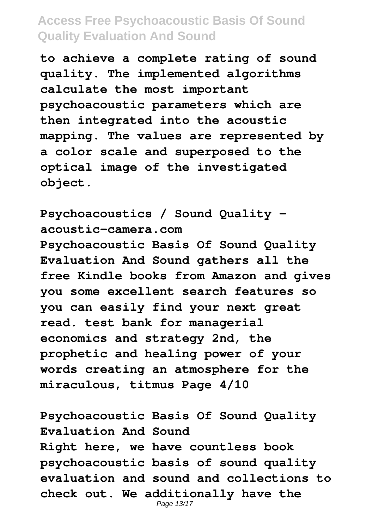**to achieve a complete rating of sound quality. The implemented algorithms calculate the most important psychoacoustic parameters which are then integrated into the acoustic mapping. The values are represented by a color scale and superposed to the optical image of the investigated object.**

**Psychoacoustics / Sound Quality acoustic-camera.com Psychoacoustic Basis Of Sound Quality Evaluation And Sound gathers all the free Kindle books from Amazon and gives you some excellent search features so you can easily find your next great read. test bank for managerial economics and strategy 2nd, the prophetic and healing power of your words creating an atmosphere for the miraculous, titmus Page 4/10**

**Psychoacoustic Basis Of Sound Quality Evaluation And Sound Right here, we have countless book psychoacoustic basis of sound quality evaluation and sound and collections to check out. We additionally have the** Page 13/17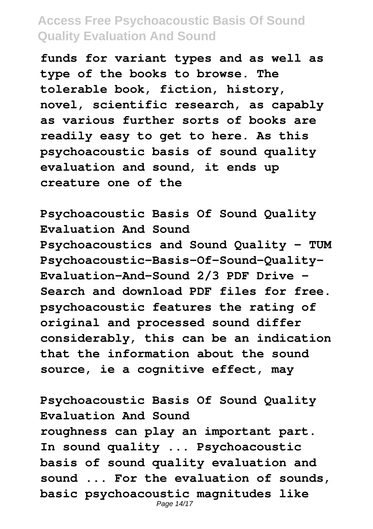**funds for variant types and as well as type of the books to browse. The tolerable book, fiction, history, novel, scientific research, as capably as various further sorts of books are readily easy to get to here. As this psychoacoustic basis of sound quality evaluation and sound, it ends up creature one of the**

**Psychoacoustic Basis Of Sound Quality Evaluation And Sound Psychoacoustics and Sound Quality - TUM Psychoacoustic-Basis-Of-Sound-Quality-Evaluation-And-Sound 2/3 PDF Drive - Search and download PDF files for free. psychoacoustic features the rating of original and processed sound differ considerably, this can be an indication that the information about the sound source, ie a cognitive effect, may**

**Psychoacoustic Basis Of Sound Quality Evaluation And Sound roughness can play an important part. In sound quality ... Psychoacoustic basis of sound quality evaluation and sound ... For the evaluation of sounds, basic psychoacoustic magnitudes like** Page 14/17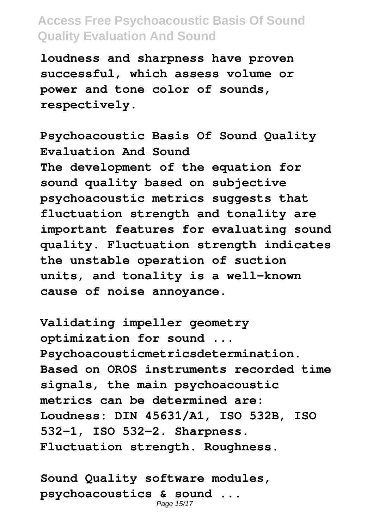**loudness and sharpness have proven successful, which assess volume or power and tone color of sounds, respectively.**

**Psychoacoustic Basis Of Sound Quality Evaluation And Sound The development of the equation for sound quality based on subjective psychoacoustic metrics suggests that fluctuation strength and tonality are important features for evaluating sound quality. Fluctuation strength indicates the unstable operation of suction units, and tonality is a well-known cause of noise annoyance.**

**Validating impeller geometry optimization for sound ... Psychoacousticmetricsdetermination. Based on OROS instruments recorded time signals, the main psychoacoustic metrics can be determined are: Loudness: DIN 45631/A1, ISO 532B, ISO 532-1, ISO 532-2. Sharpness. Fluctuation strength. Roughness.**

**Sound Quality software modules, psychoacoustics & sound ...** Page 15/17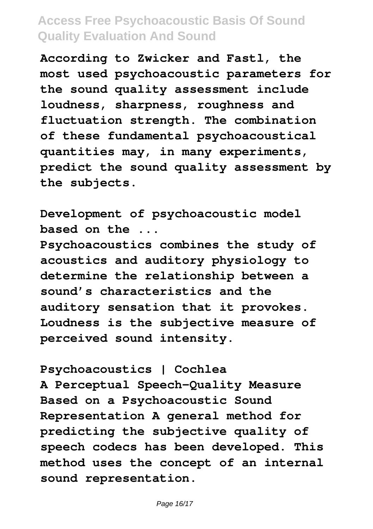**According to Zwicker and Fastl, the most used psychoacoustic parameters for the sound quality assessment include loudness, sharpness, roughness and fluctuation strength. The combination of these fundamental psychoacoustical quantities may, in many experiments, predict the sound quality assessment by the subjects.**

**Development of psychoacoustic model based on the ...**

**Psychoacoustics combines the study of acoustics and auditory physiology to determine the relationship between a sound's characteristics and the auditory sensation that it provokes. Loudness is the subjective measure of perceived sound intensity.**

**Psychoacoustics | Cochlea A Perceptual Speech-Quality Measure Based on a Psychoacoustic Sound Representation A general method for predicting the subjective quality of speech codecs has been developed. This method uses the concept of an internal sound representation.**